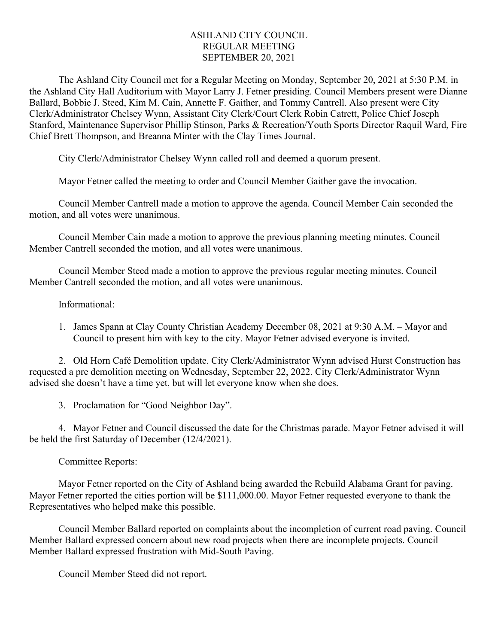## ASHLAND CITY COUNCIL REGULAR MEETING SEPTEMBER 20, 2021

The Ashland City Council met for a Regular Meeting on Monday, September 20, 2021 at 5:30 P.M. in the Ashland City Hall Auditorium with Mayor Larry J. Fetner presiding. Council Members present were Dianne Ballard, Bobbie J. Steed, Kim M. Cain, Annette F. Gaither, and Tommy Cantrell. Also present were City Clerk/Administrator Chelsey Wynn, Assistant City Clerk/Court Clerk Robin Catrett, Police Chief Joseph Stanford, Maintenance Supervisor Phillip Stinson, Parks & Recreation/Youth Sports Director Raquil Ward, Fire Chief Brett Thompson, and Breanna Minter with the Clay Times Journal.

City Clerk/Administrator Chelsey Wynn called roll and deemed a quorum present.

Mayor Fetner called the meeting to order and Council Member Gaither gave the invocation.

Council Member Cantrell made a motion to approve the agenda. Council Member Cain seconded the motion, and all votes were unanimous.

Council Member Cain made a motion to approve the previous planning meeting minutes. Council Member Cantrell seconded the motion, and all votes were unanimous.

Council Member Steed made a motion to approve the previous regular meeting minutes. Council Member Cantrell seconded the motion, and all votes were unanimous.

## Informational:

1. James Spann at Clay County Christian Academy December 08, 2021 at 9:30 A.M. – Mayor and Council to present him with key to the city. Mayor Fetner advised everyone is invited.

2. Old Horn Café Demolition update. City Clerk/Administrator Wynn advised Hurst Construction has requested a pre demolition meeting on Wednesday, September 22, 2022. City Clerk/Administrator Wynn advised she doesn't have a time yet, but will let everyone know when she does.

3. [Proclamation for "Good Neighbor Day".](https://e00be812-8dea-4d19-b085-22421951b33b.filesusr.com/ugd/a001bf_ac3aed6b435f4ae2a322d49f3004a08e.pdf)

4. Mayor Fetner and Council discussed the date for the Christmas parade. Mayor Fetner advised it will be held the first Saturday of December (12/4/2021).

Committee Reports:

Mayor Fetner reported on the City of Ashland being awarded the Rebuild Alabama Grant for paving. Mayor Fetner reported the cities portion will be \$111,000.00. Mayor Fetner requested everyone to thank the Representatives who helped make this possible.

Council Member Ballard reported on complaints about the incompletion of current road paving. Council Member Ballard expressed concern about new road projects when there are incomplete projects. Council Member Ballard expressed frustration with Mid-South Paving.

Council Member Steed did not report.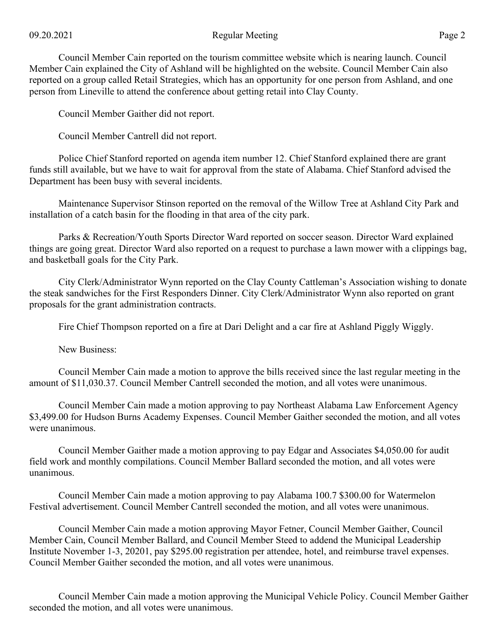## 09.20.2021 Regular Meeting Page 2

Council Member Cain reported on the tourism committee website which is nearing launch. Council Member Cain explained the City of Ashland will be highlighted on the website. Council Member Cain also reported on a group called Retail Strategies, which has an opportunity for one person from Ashland, and one person from Lineville to attend the conference about getting retail into Clay County.

Council Member Gaither did not report.

Council Member Cantrell did not report.

Police Chief Stanford reported on agenda item number 12. Chief Stanford explained there are grant funds still available, but we have to wait for approval from the state of Alabama. Chief Stanford advised the Department has been busy with several incidents.

Maintenance Supervisor Stinson reported on the removal of the Willow Tree at Ashland City Park and installation of a catch basin for the flooding in that area of the city park.

Parks & Recreation/Youth Sports Director Ward reported on soccer season. Director Ward explained things are going great. Director Ward also reported on a request to purchase a lawn mower with a clippings bag, and basketball goals for the City Park.

City Clerk/Administrator Wynn reported on the Clay County Cattleman's Association wishing to donate the steak sandwiches for the First Responders Dinner. City Clerk/Administrator Wynn also reported on grant proposals for the grant administration contracts.

Fire Chief Thompson reported on a fire at Dari Delight and a car fire at Ashland Piggly Wiggly.

New Business:

Council Member Cain made a motion to approve the bills received since the last regular meeting in the amount of \$11,030.37. Council Member Cantrell seconded the motion, and all votes were unanimous.

Council Member Cain made a motion approving to pay Northeast Alabama Law Enforcement Agency \$3,499.00 for Hudson Burns Academy Expenses. Council Member Gaither seconded the motion, and all votes were unanimous.

Council Member Gaither made a motion approving to pay Edgar and Associates \$4,050.00 for audit field work and monthly compilations. Council Member Ballard seconded the motion, and all votes were unanimous.

Council Member Cain made a motion approving to pay Alabama 100.7 \$300.00 for Watermelon Festival advertisement. Council Member Cantrell seconded the motion, and all votes were unanimous.

Council Member Cain made a motion approving Mayor Fetner, Council Member Gaither, Council Member Cain, Council Member Ballard, and Council Member Steed to addend the Municipal Leadership Institute November 1-3, 20201, pay \$295.00 registration per attendee, hotel, and reimburse travel expenses. Council Member Gaither seconded the motion, and all votes were unanimous.

Council Member Cain made a motion approving the [Municipal Vehicle Policy.](https://e00be812-8dea-4d19-b085-22421951b33b.filesusr.com/ugd/a001bf_a8b4d40c437848b6945be0558a082ab0.pdf) Council Member Gaither seconded the motion, and all votes were unanimous.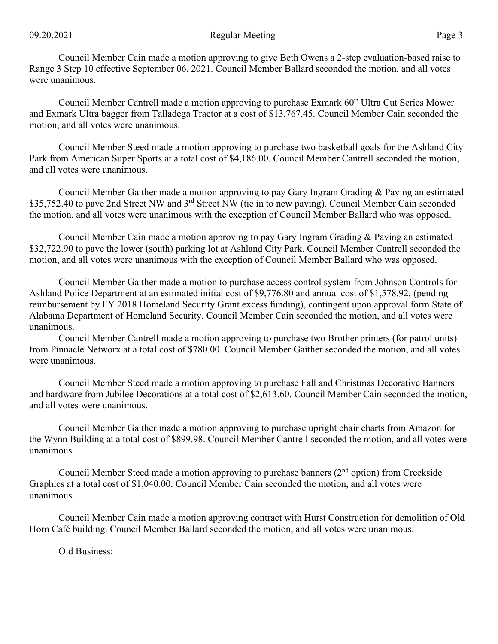## 09.20.2021 Regular Meeting Page 3

Council Member Cain made a motion approving to give Beth Owens a 2-step evaluation-based raise to Range 3 Step 10 effective September 06, 2021. Council Member Ballard seconded the motion, and all votes were unanimous.

Council Member Cantrell made a motion approving to purchase Exmark 60" Ultra Cut Series Mower and Exmark Ultra bagger from Talladega Tractor at a cost of \$13,767.45. Council Member Cain seconded the motion, and all votes were unanimous.

Council Member Steed made a motion approving to purchase two basketball goals for the Ashland City Park from American Super Sports at a total cost of \$4,186.00. Council Member Cantrell seconded the motion, and all votes were unanimous.

Council Member Gaither made a motion approving to pay Gary Ingram Grading & Paving an estimated \$35,752.40 to pave 2nd Street NW and 3<sup>rd</sup> Street NW (tie in to new paving). Council Member Cain seconded the motion, and all votes were unanimous with the exception of Council Member Ballard who was opposed.

Council Member Cain made a motion approving to pay Gary Ingram Grading & Paving an estimated \$32,722.90 to pave the lower (south) parking lot at Ashland City Park. Council Member Cantrell seconded the motion, and all votes were unanimous with the exception of Council Member Ballard who was opposed.

Council Member Gaither made a motion to purchase access control system from Johnson Controls for Ashland Police Department at an estimated initial cost of \$9,776.80 and annual cost of \$1,578.92, (pending reimbursement by FY 2018 Homeland Security Grant excess funding), contingent upon approval form State of Alabama Department of Homeland Security. Council Member Cain seconded the motion, and all votes were unanimous.

Council Member Cantrell made a motion approving to purchase two Brother printers (for patrol units) from Pinnacle Networx at a total cost of \$780.00. Council Member Gaither seconded the motion, and all votes were unanimous.

Council Member Steed made a motion approving to purchase Fall and Christmas Decorative Banners and hardware from Jubilee Decorations at a total cost of \$2,613.60. Council Member Cain seconded the motion, and all votes were unanimous.

Council Member Gaither made a motion approving to purchase upright chair charts from Amazon for the Wynn Building at a total cost of \$899.98. Council Member Cantrell seconded the motion, and all votes were unanimous.

Council Member Steed made a motion approving to purchase banners (2<sup>nd</sup> option) from Creekside Graphics at a total cost of \$1,040.00. Council Member Cain seconded the motion, and all votes were unanimous.

Council Member Cain made a motion approving contract with Hurst Construction for demolition of Old Horn Café building. Council Member Ballard seconded the motion, and all votes were unanimous.

Old Business: